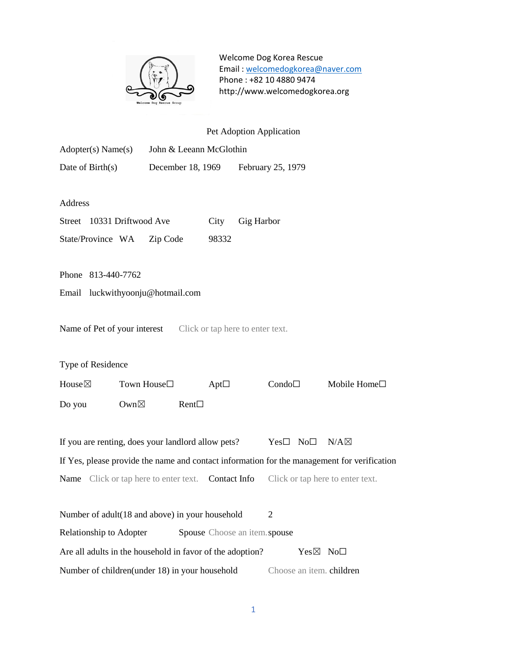

| Pet Adoption Application                                                                    |                         |               |                                  |                    |                          |                                  |  |  |
|---------------------------------------------------------------------------------------------|-------------------------|---------------|----------------------------------|--------------------|--------------------------|----------------------------------|--|--|
| Adopter(s) Name(s)                                                                          | John & Leeann McGlothin |               |                                  |                    |                          |                                  |  |  |
| Date of Birth(s)                                                                            | December 18, 1969       |               | February 25, 1979                |                    |                          |                                  |  |  |
|                                                                                             |                         |               |                                  |                    |                          |                                  |  |  |
| Address                                                                                     |                         |               |                                  |                    |                          |                                  |  |  |
| Street 10331 Driftwood Ave                                                                  |                         | City          | Gig Harbor                       |                    |                          |                                  |  |  |
| State/Province WA                                                                           | Zip Code                | 98332         |                                  |                    |                          |                                  |  |  |
|                                                                                             |                         |               |                                  |                    |                          |                                  |  |  |
| Phone 813-440-7762                                                                          |                         |               |                                  |                    |                          |                                  |  |  |
| Email luckwithyoonju@hotmail.com                                                            |                         |               |                                  |                    |                          |                                  |  |  |
|                                                                                             |                         |               |                                  |                    |                          |                                  |  |  |
| Name of Pet of your interest                                                                |                         |               | Click or tap here to enter text. |                    |                          |                                  |  |  |
|                                                                                             |                         |               |                                  |                    |                          |                                  |  |  |
| Type of Residence                                                                           |                         |               |                                  |                    |                          |                                  |  |  |
| House $\boxtimes$                                                                           | Town House□             | Apt $\square$ |                                  | Condo              |                          | Mobile Home□                     |  |  |
| Own $\boxtimes$<br>Do you                                                                   | $Rent\Box$              |               |                                  |                    |                          |                                  |  |  |
|                                                                                             |                         |               |                                  |                    |                          |                                  |  |  |
| If you are renting, does your landlord allow pets?                                          |                         |               |                                  | $Yes \Box No \Box$ |                          | $N/A \boxtimes$                  |  |  |
| If Yes, please provide the name and contact information for the management for verification |                         |               |                                  |                    |                          |                                  |  |  |
| <b>Name</b> Click or tap here to enter text.                                                |                         | Contact Info  |                                  |                    |                          | Click or tap here to enter text. |  |  |
|                                                                                             |                         |               |                                  |                    |                          |                                  |  |  |
| Number of adult(18 and above) in your household<br>2                                        |                         |               |                                  |                    |                          |                                  |  |  |
| Relationship to Adopter<br>Spouse Choose an item spouse                                     |                         |               |                                  |                    |                          |                                  |  |  |
| Are all adults in the household in favor of the adoption?<br>Yes⊠ No <sup>[1]</sup>         |                         |               |                                  |                    |                          |                                  |  |  |
| Number of children(under 18) in your household                                              |                         |               |                                  |                    | Choose an item. children |                                  |  |  |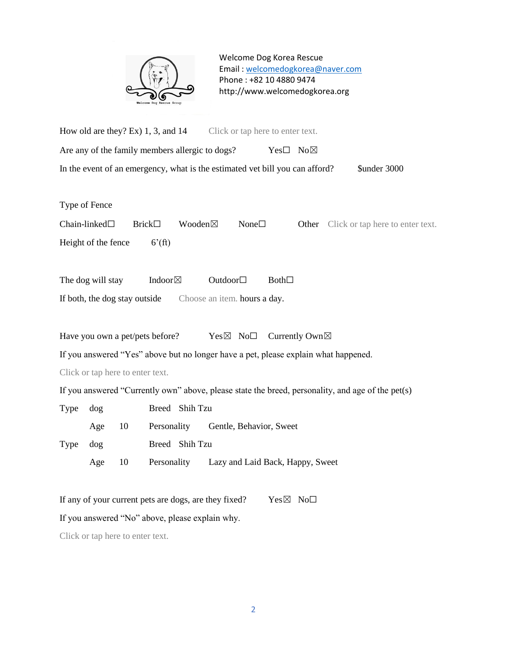

How old are they? Ex) 1, 3, and 14 Click or tap here to enter text. Are any of the family members allergic to dogs? Yes $\square$  No $\boxtimes$ In the event of an emergency, what is the estimated vet bill you can afford? \$under 3000

Type of Fence

Chain-linked□ Brick□ Wooden⊠ None□ Other Click or tap here to enter text. Height of the fence  $6'(ft)$ 

The dog will stay Indoor⊠ Outdoor□ Both□ If both, the dog stay outside Choose an item. hours a day.

Have you own a pet/pets before? Yes $\boxtimes$  No $\Box$  Currently Own $\boxtimes$ 

If you answered "Yes" above but no longer have a pet, please explain what happened.

Click or tap here to enter text.

If you answered "Currently own" above, please state the breed, personality, and age of the pet(s)

| Type dog |          |                 | Breed Shih Tzu |                                  |  |  |  |
|----------|----------|-----------------|----------------|----------------------------------|--|--|--|
|          | Age $10$ |                 | Personality    | Gentle, Behavior, Sweet          |  |  |  |
| Type dog |          |                 | Breed Shih Tzu |                                  |  |  |  |
|          | Age      | $\overline{10}$ | Personality    | Lazy and Laid Back, Happy, Sweet |  |  |  |

If any of your current pets are dogs, are they fixed? Yes  $\boxtimes$  No $\Box$ 

If you answered "No" above, please explain why.

Click or tap here to enter text.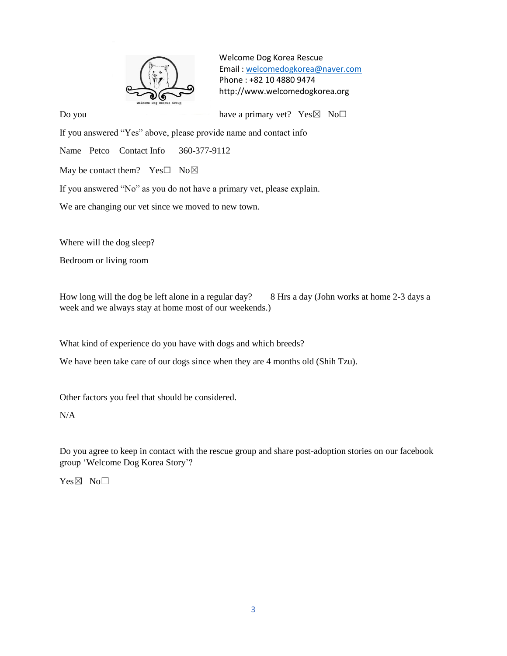

Do you have a primary vet?  $Yes \boxtimes No\square$ 

If you answered "Yes" above, please provide name and contact info

Name Petco Contact Info 360-377-9112

May be contact them? Yes $\square$  No $\square$ 

If you answered "No" as you do not have a primary vet, please explain.

We are changing our vet since we moved to new town.

Where will the dog sleep?

Bedroom or living room

How long will the dog be left alone in a regular day? 8 Hrs a day (John works at home 2-3 days a week and we always stay at home most of our weekends.)

What kind of experience do you have with dogs and which breeds?

We have been take care of our dogs since when they are 4 months old (Shih Tzu).

Other factors you feel that should be considered.

## N/A

Do you agree to keep in contact with the rescue group and share post-adoption stories on our facebook group 'Welcome Dog Korea Story'?

Yes⊠ No□